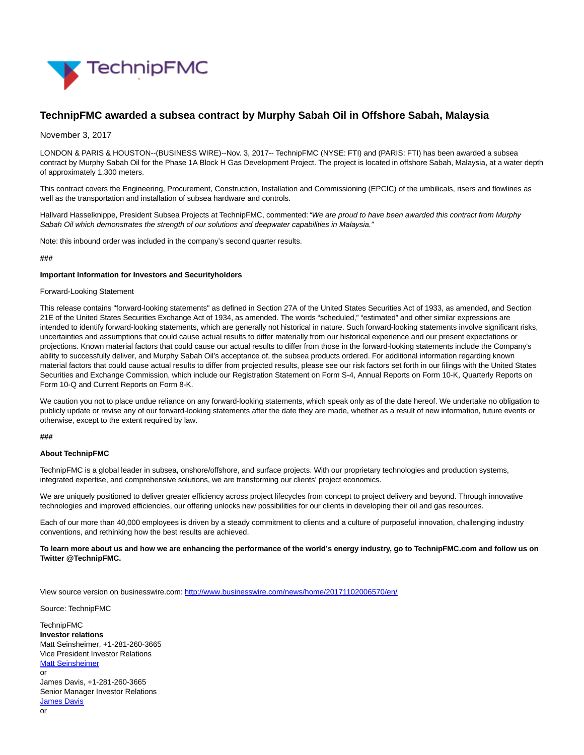

# **TechnipFMC awarded a subsea contract by Murphy Sabah Oil in Offshore Sabah, Malaysia**

# November 3, 2017

LONDON & PARIS & HOUSTON--(BUSINESS WIRE)--Nov. 3, 2017-- TechnipFMC (NYSE: FTI) and (PARIS: FTI) has been awarded a subsea contract by Murphy Sabah Oil for the Phase 1A Block H Gas Development Project. The project is located in offshore Sabah, Malaysia, at a water depth of approximately 1,300 meters.

This contract covers the Engineering, Procurement, Construction, Installation and Commissioning (EPCIC) of the umbilicals, risers and flowlines as well as the transportation and installation of subsea hardware and controls.

Hallvard Hasselknippe, President Subsea Projects at TechnipFMC, commented: "We are proud to have been awarded this contract from Murphy Sabah Oil which demonstrates the strength of our solutions and deepwater capabilities in Malaysia."

Note: this inbound order was included in the company's second quarter results.

#### **###**

#### **Important Information for Investors and Securityholders**

#### Forward-Looking Statement

This release contains "forward-looking statements" as defined in Section 27A of the United States Securities Act of 1933, as amended, and Section 21E of the United States Securities Exchange Act of 1934, as amended. The words "scheduled," "estimated" and other similar expressions are intended to identify forward-looking statements, which are generally not historical in nature. Such forward-looking statements involve significant risks, uncertainties and assumptions that could cause actual results to differ materially from our historical experience and our present expectations or projections. Known material factors that could cause our actual results to differ from those in the forward-looking statements include the Company's ability to successfully deliver, and Murphy Sabah Oil's acceptance of, the subsea products ordered. For additional information regarding known material factors that could cause actual results to differ from projected results, please see our risk factors set forth in our filings with the United States Securities and Exchange Commission, which include our Registration Statement on Form S-4, Annual Reports on Form 10-K, Quarterly Reports on Form 10-Q and Current Reports on Form 8-K.

We caution you not to place undue reliance on any forward-looking statements, which speak only as of the date hereof. We undertake no obligation to publicly update or revise any of our forward-looking statements after the date they are made, whether as a result of new information, future events or otherwise, except to the extent required by law.

## **###**

### **About TechnipFMC**

TechnipFMC is a global leader in subsea, onshore/offshore, and surface projects. With our proprietary technologies and production systems, integrated expertise, and comprehensive solutions, we are transforming our clients' project economics.

We are uniquely positioned to deliver greater efficiency across project lifecycles from concept to project delivery and beyond. Through innovative technologies and improved efficiencies, our offering unlocks new possibilities for our clients in developing their oil and gas resources.

Each of our more than 40,000 employees is driven by a steady commitment to clients and a culture of purposeful innovation, challenging industry conventions, and rethinking how the best results are achieved.

**To learn more about us and how we are enhancing the performance of the world's energy industry, go to TechnipFMC.com and follow us on Twitter @TechnipFMC.**

View source version on businesswire.com:<http://www.businesswire.com/news/home/20171102006570/en/>

Source: TechnipFMC

TechnipFMC **Investor relations** Matt Seinsheimer, +1-281-260-3665 Vice President Investor Relations [Matt Seinsheimer](mailto:InvestorRelations@TechnipFMC.com) or James Davis, +1-281-260-3665 Senior Manager Investor Relations **[James Davis](mailto:InvestorRelations@TechnipFMC.com)** or